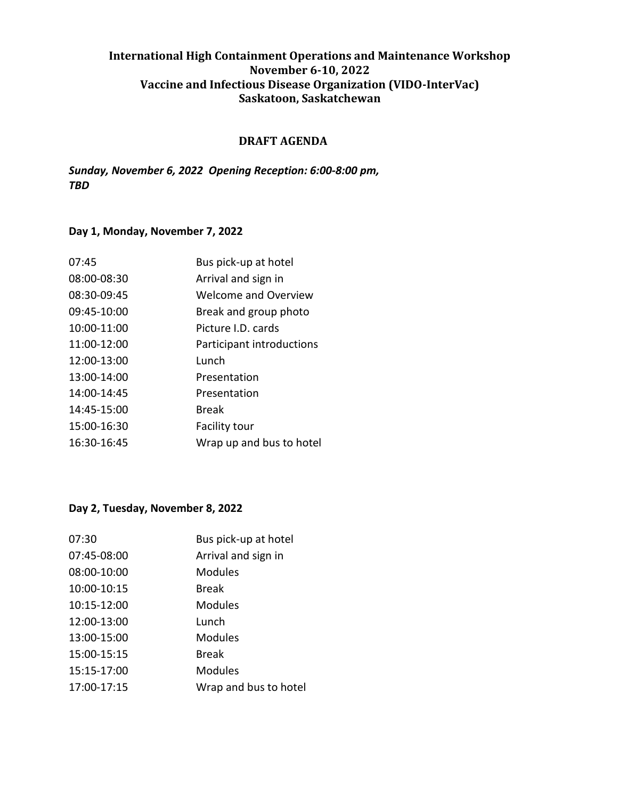## **International High Containment Operations and Maintenance Workshop November 6-10, 2022 Vaccine and Infectious Disease Organization (VIDO-InterVac) Saskatoon, Saskatchewan**

#### **DRAFT AGENDA**

*Sunday, November 6, 2022 Opening Reception: 6:00-8:00 pm, TBD* 

### **Day 1, Monday, November 7, 2022**

| 07:45       | Bus pick-up at hotel      |
|-------------|---------------------------|
| 08:00-08:30 | Arrival and sign in       |
| 08:30-09:45 | Welcome and Overview      |
| 09:45-10:00 | Break and group photo     |
| 10:00-11:00 | Picture I.D. cards        |
| 11:00-12:00 | Participant introductions |
| 12:00-13:00 | Lunch                     |
| 13:00-14:00 | Presentation              |
| 14:00-14:45 | Presentation              |
| 14:45-15:00 | Break                     |
| 15:00-16:30 | Facility tour             |
| 16:30-16:45 | Wrap up and bus to hotel  |
|             |                           |

### **Day 2, Tuesday, November 8, 2022**

| 07:30       | Bus pick-up at hotel  |
|-------------|-----------------------|
| 07:45-08:00 | Arrival and sign in   |
| 08:00-10:00 | <b>Modules</b>        |
| 10:00-10:15 | <b>Break</b>          |
| 10:15-12:00 | Modules               |
| 12:00-13:00 | Lunch                 |
| 13:00-15:00 | Modules               |
| 15:00-15:15 | Break                 |
| 15:15-17:00 | <b>Modules</b>        |
| 17:00-17:15 | Wrap and bus to hotel |
|             |                       |